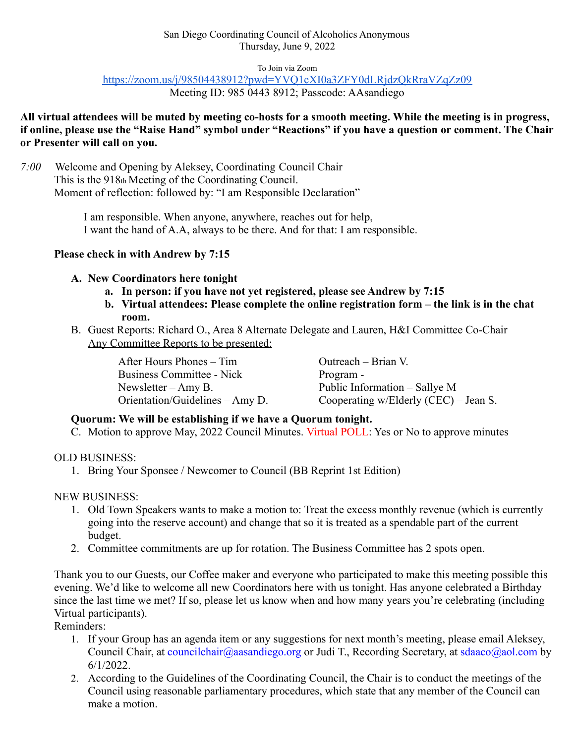To Join via Zoom

<https://zoom.us/j/98504438912?pwd=YVQ1cXI0a3ZFY0dLRjdzQkRraVZqZz09>

Meeting ID: 985 0443 8912; Passcode: AAsandiego

**All virtual attendees will be muted by meeting co-hosts for a smooth meeting. While the meeting is in progress, if online, please use the "Raise Hand" symbol under "Reactions" if you have a question or comment. The Chair or Presenter will call on you.**

## *7:00* Welcome and Opening by Aleksey, Coordinating Council Chair This is the 918th Meeting of the Coordinating Council. Moment of reflection: followed by: "I am Responsible Declaration"

I am responsible. When anyone, anywhere, reaches out for help, I want the hand of A.A, always to be there. And for that: I am responsible.

# **Please check in with Andrew by 7:15**

## **A. New Coordinators here tonight**

- **a. In person: if you have not yet registered, please see Andrew by 7:15**
- **b. Virtual attendees: Please complete the online registration form the link is in the chat room.**
- B. Guest Reports: Richard O., Area 8 Alternate Delegate and Lauren, H&I Committee Co-Chair Any Committee Reports to be presented:

After Hours Phones – Tim Business Committee - Nick Newsletter – Amy B. Orientation/Guidelines – Amy D.

Outreach – Brian V. Program - Public Information – Sallye M Cooperating w/Elderly (CEC) – Jean S.

## **Quorum: We will be establishing if we have a Quorum tonight.**

C. Motion to approve May, 2022 Council Minutes. Virtual POLL: Yes or No to approve minutes

# OLD BUSINESS:

1. Bring Your Sponsee / Newcomer to Council (BB Reprint 1st Edition)

NEW BUSINESS:

- 1. Old Town Speakers wants to make a motion to: Treat the excess monthly revenue (which is currently going into the reserve account) and change that so it is treated as a spendable part of the current budget.
- 2. Committee commitments are up for rotation. The Business Committee has 2 spots open.

Thank you to our Guests, our Coffee maker and everyone who participated to make this meeting possible this evening. We'd like to welcome all new Coordinators here with us tonight. Has anyone celebrated a Birthday since the last time we met? If so, please let us know when and how many years you're celebrating (including Virtual participants).

Reminders:

- 1. If your Group has an agenda item or any suggestions for next month's meeting, please email Aleksey, Council Chair, at councilchair@aasandiego.org or Judi T., Recording Secretary, at sdaaco@aol.com by 6/1/2022.
- 2. According to the Guidelines of the Coordinating Council, the Chair is to conduct the meetings of the Council using reasonable parliamentary procedures, which state that any member of the Council can make a motion.